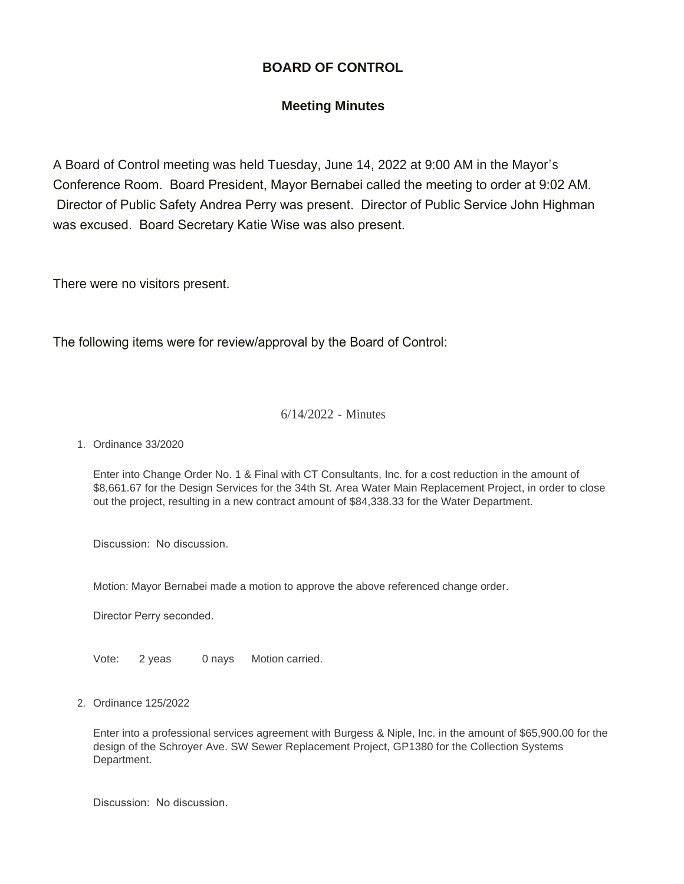## **BOARD OF CONTROL**

## **Meeting Minutes**

A Board of Control meeting was held Tuesday, June 14, 2022 at 9:00 AM in the Mayor's Conference Room. Board President, Mayor Bernabei called the meeting to order at 9:02 AM. Director of Public Safety Andrea Perry was present. Director of Public Service John Highman was excused. Board Secretary Katie Wise was also present.

There were no visitors present.

The following items were for review/approval by the Board of Control:

## 6/14/2022 - Minutes

Ordinance 33/2020 1.

Enter into Change Order No. 1 & Final with CT Consultants, Inc. for a cost reduction in the amount of \$8,661.67 for the Design Services for the 34th St. Area Water Main Replacement Project, in order to close out the project, resulting in a new contract amount of \$84,338.33 for the Water Department.

Discussion: No discussion.

Motion: Mayor Bernabei made a motion to approve the above referenced change order.

Director Perry seconded.

Vote: 2 yeas 0 nays Motion carried.

Ordinance 125/2022 2.

Enter into a professional services agreement with Burgess & Niple, Inc. in the amount of \$65,900.00 for the design of the Schroyer Ave. SW Sewer Replacement Project, GP1380 for the Collection Systems Department.

Discussion: No discussion.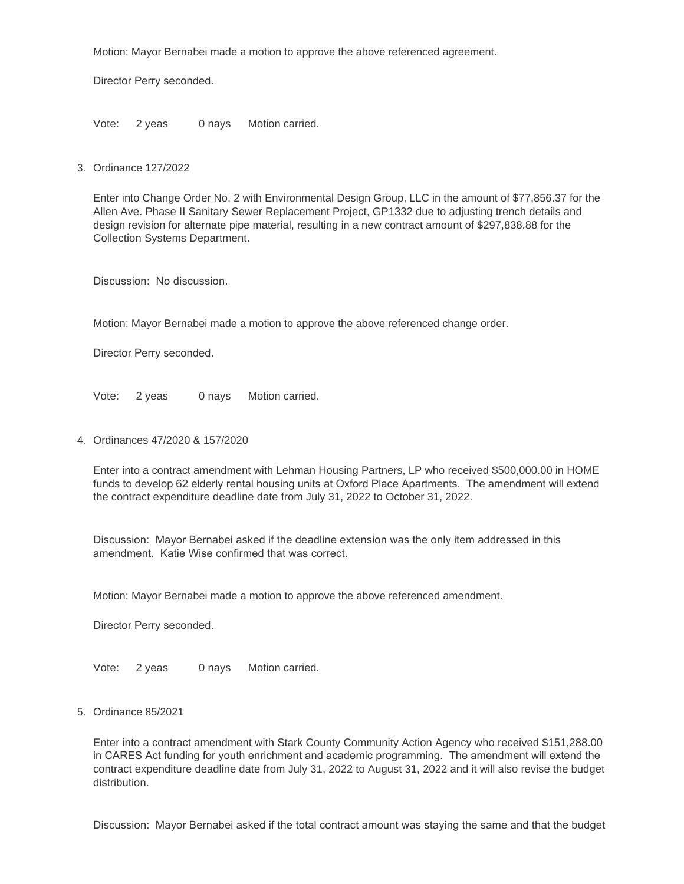Motion: Mayor Bernabei made a motion to approve the above referenced agreement.

Director Perry seconded.

Vote: 2 yeas 0 nays Motion carried.

Ordinance 127/2022 3.

Enter into Change Order No. 2 with Environmental Design Group, LLC in the amount of \$77,856.37 for the Allen Ave. Phase II Sanitary Sewer Replacement Project, GP1332 due to adjusting trench details and design revision for alternate pipe material, resulting in a new contract amount of \$297,838.88 for the Collection Systems Department.

Discussion: No discussion.

Motion: Mayor Bernabei made a motion to approve the above referenced change order.

Director Perry seconded.

Vote: 2 yeas 0 nays Motion carried.

Ordinances 47/2020 & 157/2020 4.

Enter into a contract amendment with Lehman Housing Partners, LP who received \$500,000.00 in HOME funds to develop 62 elderly rental housing units at Oxford Place Apartments. The amendment will extend the contract expenditure deadline date from July 31, 2022 to October 31, 2022.

Discussion: Mayor Bernabei asked if the deadline extension was the only item addressed in this amendment. Katie Wise confirmed that was correct.

Motion: Mayor Bernabei made a motion to approve the above referenced amendment.

Director Perry seconded.

Vote: 2 yeas 0 nays Motion carried.

Ordinance 85/2021 5.

Enter into a contract amendment with Stark County Community Action Agency who received \$151,288.00 in CARES Act funding for youth enrichment and academic programming. The amendment will extend the contract expenditure deadline date from July 31, 2022 to August 31, 2022 and it will also revise the budget distribution.

Discussion: Mayor Bernabei asked if the total contract amount was staying the same and that the budget